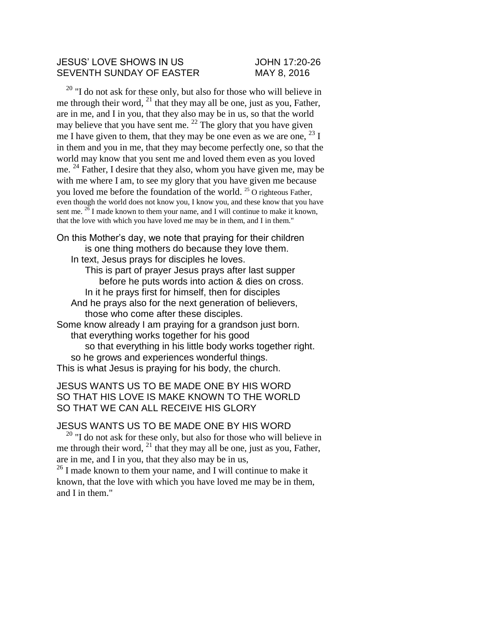#### JESUS' LOVE SHOWS IN US JOHN 17:20-26 SEVENTH SUNDAY OF EASTER MAY 8, 2016

 $20$  "I do not ask for these only, but also for those who will believe in me through their word,  $^{21}$  that they may all be one, just as you, Father, are in me, and I in you, that they also may be in us, so that the world may believe that you have sent me.  $22$  The glory that you have given me I have given to them, that they may be one even as we are one,  $^{23}$  I in them and you in me, that they may become perfectly one, so that the world may know that you sent me and loved them even as you loved me. <sup>24</sup> Father, I desire that they also, whom you have given me, may be with me where I am, to see my glory that you have given me because you loved me before the foundation of the world. <sup>25</sup> O righteous Father, even though the world does not know you, I know you, and these know that you have sent me.  $^{26}$  I made known to them your name, and I will continue to make it known, that the love with which you have loved me may be in them, and I in them."

On this Mother's day, we note that praying for their children is one thing mothers do because they love them. In text, Jesus prays for disciples he loves.

This is part of prayer Jesus prays after last supper before he puts words into action & dies on cross. In it he prays first for himself, then for disciples

And he prays also for the next generation of believers, those who come after these disciples.

Some know already I am praying for a grandson just born. that everything works together for his good

so that everything in his little body works together right. so he grows and experiences wonderful things. This is what Jesus is praying for his body, the church.

## JESUS WANTS US TO BE MADE ONE BY HIS WORD SO THAT HIS LOVE IS MAKE KNOWN TO THE WORLD SO THAT WE CAN ALL RECEIVE HIS GLORY

### JESUS WANTS US TO BE MADE ONE BY HIS WORD

 $20$  "I do not ask for these only, but also for those who will believe in me through their word,  $^{21}$  that they may all be one, just as you, Father, are in me, and I in you, that they also may be in us,

<sup>26</sup> I made known to them your name, and I will continue to make it known, that the love with which you have loved me may be in them, and I in them."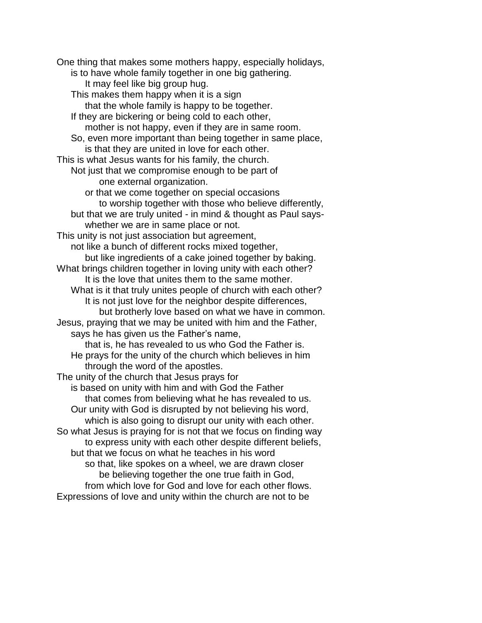One thing that makes some mothers happy, especially holidays, is to have whole family together in one big gathering. It may feel like big group hug. This makes them happy when it is a sign that the whole family is happy to be together. If they are bickering or being cold to each other, mother is not happy, even if they are in same room. So, even more important than being together in same place, is that they are united in love for each other. This is what Jesus wants for his family, the church. Not just that we compromise enough to be part of one external organization. or that we come together on special occasions to worship together with those who believe differently, but that we are truly united - in mind & thought as Paul sayswhether we are in same place or not. This unity is not just association but agreement, not like a bunch of different rocks mixed together, but like ingredients of a cake joined together by baking. What brings children together in loving unity with each other? It is the love that unites them to the same mother. What is it that truly unites people of church with each other? It is not just love for the neighbor despite differences, but brotherly love based on what we have in common. Jesus, praying that we may be united with him and the Father, says he has given us the Father's name, that is, he has revealed to us who God the Father is. He prays for the unity of the church which believes in him through the word of the apostles. The unity of the church that Jesus prays for is based on unity with him and with God the Father that comes from believing what he has revealed to us. Our unity with God is disrupted by not believing his word, which is also going to disrupt our unity with each other. So what Jesus is praying for is not that we focus on finding way to express unity with each other despite different beliefs, but that we focus on what he teaches in his word so that, like spokes on a wheel, we are drawn closer be believing together the one true faith in God, from which love for God and love for each other flows. Expressions of love and unity within the church are not to be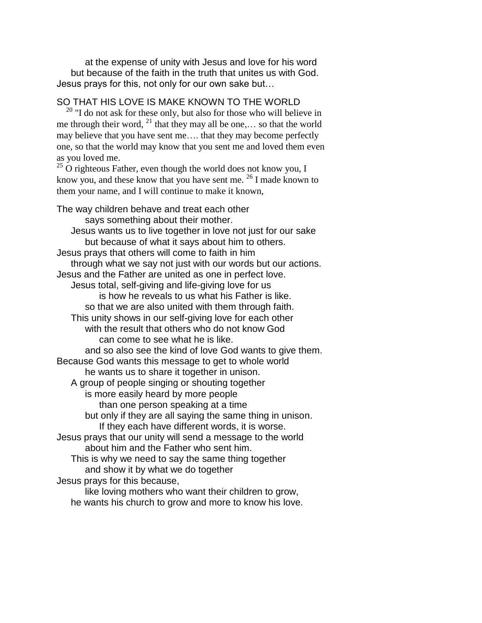at the expense of unity with Jesus and love for his word but because of the faith in the truth that unites us with God. Jesus prays for this, not only for our own sake but…

## SO THAT HIS LOVE IS MAKE KNOWN TO THE WORLD

 $20$  "I do not ask for these only, but also for those who will believe in me through their word,  $^{21}$  that they may all be one,... so that the world may believe that you have sent me…. that they may become perfectly one, so that the world may know that you sent me and loved them even as you loved me.

 $25$  O righteous Father, even though the world does not know you, I know you, and these know that you have sent me.  $^{26}$  I made known to them your name, and I will continue to make it known,

The way children behave and treat each other says something about their mother. Jesus wants us to live together in love not just for our sake but because of what it says about him to others. Jesus prays that others will come to faith in him through what we say not just with our words but our actions. Jesus and the Father are united as one in perfect love. Jesus total, self-giving and life-giving love for us is how he reveals to us what his Father is like. so that we are also united with them through faith. This unity shows in our self-giving love for each other with the result that others who do not know God can come to see what he is like. and so also see the kind of love God wants to give them. Because God wants this message to get to whole world he wants us to share it together in unison. A group of people singing or shouting together is more easily heard by more people than one person speaking at a time but only if they are all saying the same thing in unison. If they each have different words, it is worse. Jesus prays that our unity will send a message to the world about him and the Father who sent him. This is why we need to say the same thing together and show it by what we do together Jesus prays for this because,

like loving mothers who want their children to grow, he wants his church to grow and more to know his love.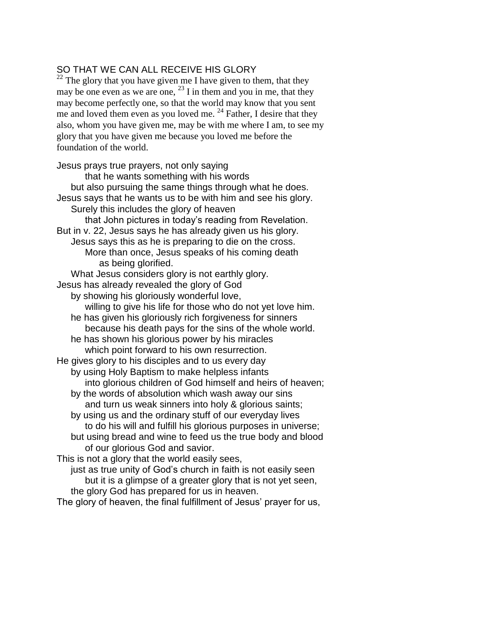# SO THAT WE CAN ALL RECEIVE HIS GLORY

 $22$  The glory that you have given me I have given to them, that they may be one even as we are one,  $^{23}$  I in them and you in me, that they may become perfectly one, so that the world may know that you sent me and loved them even as you loved me.  $^{24}$  Father, I desire that they also, whom you have given me, may be with me where I am, to see my glory that you have given me because you loved me before the foundation of the world.

Jesus prays true prayers, not only saying that he wants something with his words but also pursuing the same things through what he does. Jesus says that he wants us to be with him and see his glory. Surely this includes the glory of heaven that John pictures in today's reading from Revelation. But in v. 22, Jesus says he has already given us his glory. Jesus says this as he is preparing to die on the cross. More than once, Jesus speaks of his coming death as being glorified. What Jesus considers glory is not earthly glory. Jesus has already revealed the glory of God by showing his gloriously wonderful love, willing to give his life for those who do not yet love him. he has given his gloriously rich forgiveness for sinners because his death pays for the sins of the whole world. he has shown his glorious power by his miracles which point forward to his own resurrection. He gives glory to his disciples and to us every day by using Holy Baptism to make helpless infants into glorious children of God himself and heirs of heaven; by the words of absolution which wash away our sins and turn us weak sinners into holy & glorious saints; by using us and the ordinary stuff of our everyday lives to do his will and fulfill his glorious purposes in universe; but using bread and wine to feed us the true body and blood of our glorious God and savior. This is not a glory that the world easily sees, just as true unity of God's church in faith is not easily seen but it is a glimpse of a greater glory that is not yet seen,

the glory God has prepared for us in heaven.

The glory of heaven, the final fulfillment of Jesus' prayer for us,